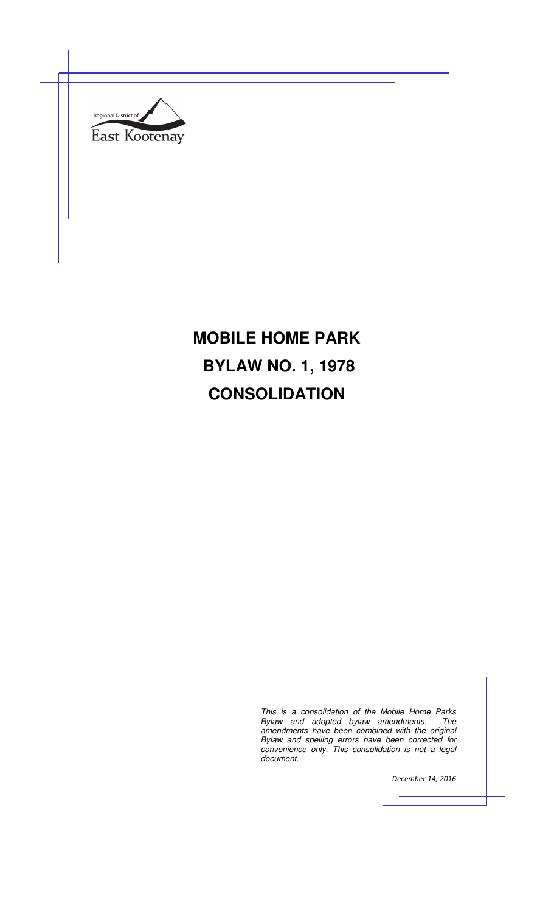

# **MOBILE HOME PARK BYLAW NO. 1, 1978 CONSOLIDATION**

This is a consolidation of the Mobile Home Parks Bylaw and adopted bylaw amendments. The amendments have been combined with the original Bylaw and spelling errors have been corrected for convenience only. This consolidation is not a legal document.

*December 14, 2016*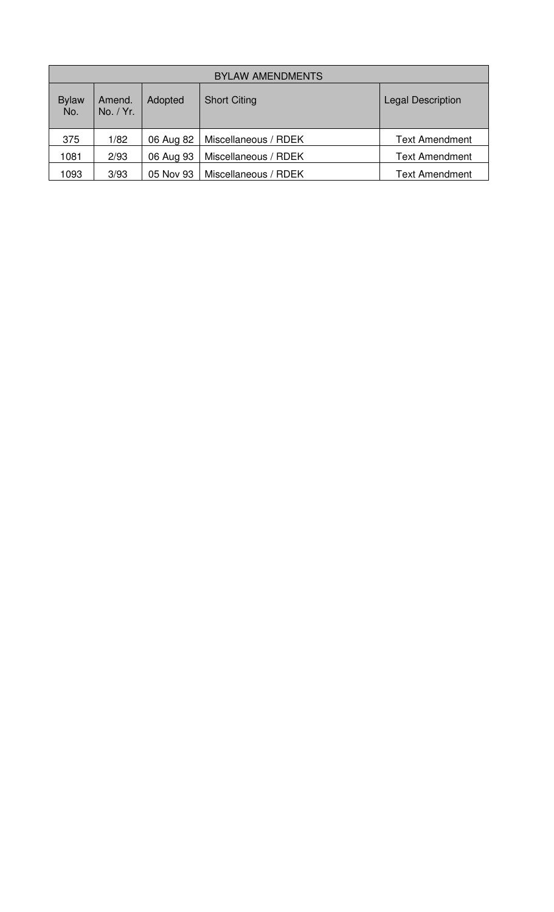| <b>BYLAW AMENDMENTS</b> |                     |           |                      |                          |  |
|-------------------------|---------------------|-----------|----------------------|--------------------------|--|
| <b>Bylaw</b><br>No.     | Amend.<br>No. / Yr. | Adopted   | <b>Short Citing</b>  | <b>Legal Description</b> |  |
| 375                     | 1/82                | 06 Aug 82 | Miscellaneous / RDEK | <b>Text Amendment</b>    |  |
| 1081                    | 2/93                | 06 Aug 93 | Miscellaneous / RDEK | <b>Text Amendment</b>    |  |
| 1093                    | 3/93                | 05 Nov 93 | Miscellaneous / RDEK | <b>Text Amendment</b>    |  |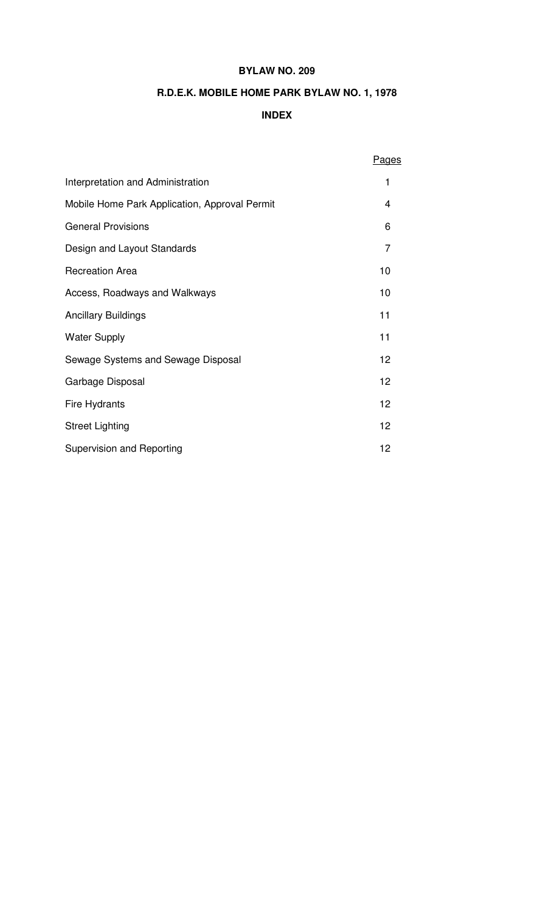# **BYLAW NO. 209**

# **R.D.E.K. MOBILE HOME PARK BYLAW NO. 1, 1978**

# **INDEX**

|                                               | <b>Pages</b>   |  |
|-----------------------------------------------|----------------|--|
| Interpretation and Administration             | 1              |  |
| Mobile Home Park Application, Approval Permit | 4              |  |
| <b>General Provisions</b>                     | 6              |  |
| Design and Layout Standards                   | $\overline{7}$ |  |
| <b>Recreation Area</b>                        | 10             |  |
| Access, Roadways and Walkways                 | 10             |  |
| <b>Ancillary Buildings</b>                    | 11             |  |
| <b>Water Supply</b>                           | 11             |  |
| Sewage Systems and Sewage Disposal            | 12             |  |
| Garbage Disposal                              | 12             |  |
| Fire Hydrants                                 | 12             |  |
| <b>Street Lighting</b>                        | 12             |  |
| <b>Supervision and Reporting</b>              |                |  |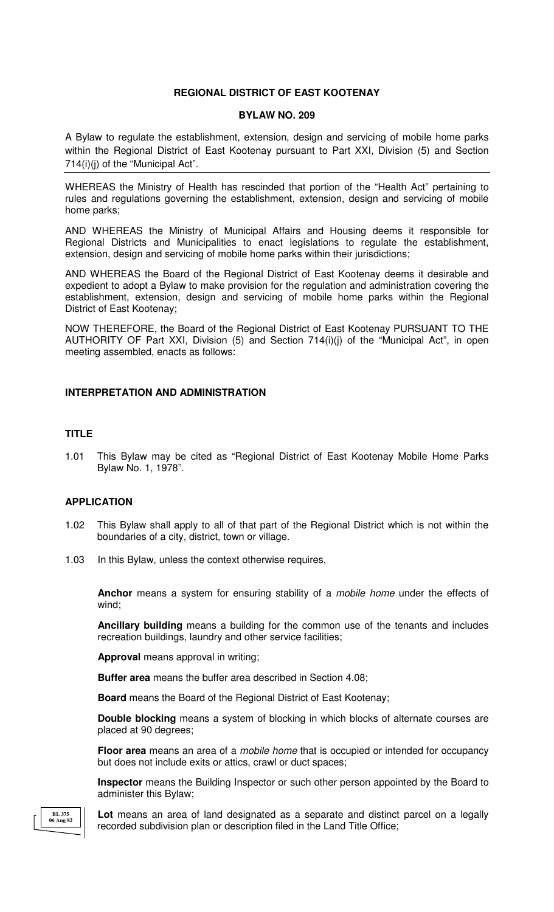## **REGIONAL DISTRICT OF EAST KOOTENAY**

#### **BYLAW NO. 209**

A Bylaw to regulate the establishment, extension, design and servicing of mobile home parks within the Regional District of East Kootenay pursuant to Part XXI, Division (5) and Section 714(i)(j) of the "Municipal Act".

WHEREAS the Ministry of Health has rescinded that portion of the "Health Act" pertaining to rules and regulations governing the establishment, extension, design and servicing of mobile home parks;

AND WHEREAS the Ministry of Municipal Affairs and Housing deems it responsible for Regional Districts and Municipalities to enact legislations to regulate the establishment, extension, design and servicing of mobile home parks within their jurisdictions;

AND WHEREAS the Board of the Regional District of East Kootenay deems it desirable and expedient to adopt a Bylaw to make provision for the regulation and administration covering the establishment, extension, design and servicing of mobile home parks within the Regional District of East Kootenay;

NOW THEREFORE, the Board of the Regional District of East Kootenay PURSUANT TO THE AUTHORITY OF Part XXI, Division (5) and Section 714(i)(j) of the "Municipal Act", in open meeting assembled, enacts as follows:

# **INTERPRETATION AND ADMINISTRATION**

# **TITLE**

1.01 This Bylaw may be cited as "Regional District of East Kootenay Mobile Home Parks Bylaw No. 1, 1978".

## **APPLICATION**

- 1.02 This Bylaw shall apply to all of that part of the Regional District which is not within the boundaries of a city, district, town or village.
- 1.03 In this Bylaw, unless the context otherwise requires,

**Anchor** means a system for ensuring stability of a mobile home under the effects of wind;

**Ancillary building** means a building for the common use of the tenants and includes recreation buildings, laundry and other service facilities;

**Approval** means approval in writing;

**Buffer area** means the buffer area described in Section 4.08;

**Board** means the Board of the Regional District of East Kootenay;

**Double blocking** means a system of blocking in which blocks of alternate courses are placed at 90 degrees;

**Floor area** means an area of a mobile home that is occupied or intended for occupancy but does not include exits or attics, crawl or duct spaces;

**Inspector** means the Building Inspector or such other person appointed by the Board to administer this Bylaw;

**BL 375 06 Aug 82**

 **Lot** means an area of land designated as a separate and distinct parcel on a legally recorded subdivision plan or description filed in the Land Title Office;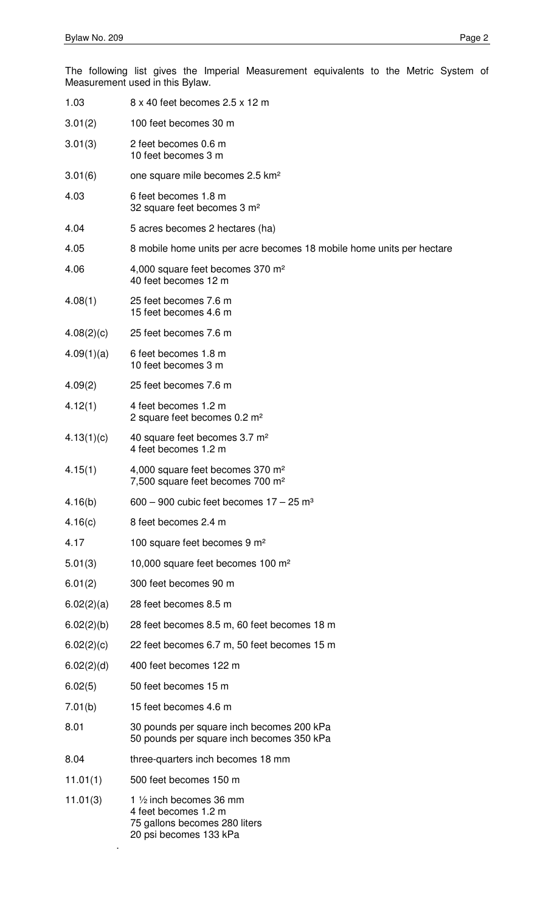.

The following list gives the Imperial Measurement equivalents to the Metric System of Measurement used in this Bylaw.

| 1.03       | 8 x 40 feet becomes 2.5 x 12 m                                                                              |
|------------|-------------------------------------------------------------------------------------------------------------|
| 3.01(2)    | 100 feet becomes 30 m                                                                                       |
| 3.01(3)    | 2 feet becomes 0.6 m<br>10 feet becomes 3 m                                                                 |
| 3.01(6)    | one square mile becomes 2.5 km <sup>2</sup>                                                                 |
| 4.03       | 6 feet becomes 1.8 m<br>32 square feet becomes 3 m <sup>2</sup>                                             |
| 4.04       | 5 acres becomes 2 hectares (ha)                                                                             |
| 4.05       | 8 mobile home units per acre becomes 18 mobile home units per hectare                                       |
| 4.06       | 4,000 square feet becomes 370 m <sup>2</sup><br>40 feet becomes 12 m                                        |
| 4.08(1)    | 25 feet becomes 7.6 m<br>15 feet becomes 4.6 m                                                              |
| 4.08(2)(c) | 25 feet becomes 7.6 m                                                                                       |
| 4.09(1)(a) | 6 feet becomes 1.8 m<br>10 feet becomes 3 m                                                                 |
| 4.09(2)    | 25 feet becomes 7.6 m                                                                                       |
| 4.12(1)    | 4 feet becomes 1.2 m<br>2 square feet becomes 0.2 m <sup>2</sup>                                            |
| 4.13(1)(c) | 40 square feet becomes 3.7 m <sup>2</sup><br>4 feet becomes 1.2 m                                           |
| 4.15(1)    | 4,000 square feet becomes 370 m <sup>2</sup><br>7,500 square feet becomes 700 m <sup>2</sup>                |
| 4.16(b)    | $600 - 900$ cubic feet becomes $17 - 25$ m <sup>3</sup>                                                     |
| 4.16(c)    | 8 feet becomes 2.4 m                                                                                        |
| 4.17       | 100 square feet becomes 9 m <sup>2</sup>                                                                    |
| 5.01(3)    | 10,000 square feet becomes 100 m <sup>2</sup>                                                               |
| 6.01(2)    | 300 feet becomes 90 m                                                                                       |
| 6.02(2)(a) | 28 feet becomes 8.5 m                                                                                       |
| 6.02(2)(b) | 28 feet becomes 8.5 m, 60 feet becomes 18 m                                                                 |
| 6.02(2)(c) | 22 feet becomes 6.7 m, 50 feet becomes 15 m                                                                 |
| 6.02(2)(d) | 400 feet becomes 122 m                                                                                      |
| 6.02(5)    | 50 feet becomes 15 m                                                                                        |
| 7.01(b)    | 15 feet becomes 4.6 m                                                                                       |
| 8.01       | 30 pounds per square inch becomes 200 kPa<br>50 pounds per square inch becomes 350 kPa                      |
| 8.04       | three-quarters inch becomes 18 mm                                                                           |
| 11.01(1)   | 500 feet becomes 150 m                                                                                      |
| 11.01(3)   | 1 1/2 inch becomes 36 mm<br>4 feet becomes 1.2 m<br>75 gallons becomes 280 liters<br>20 psi becomes 133 kPa |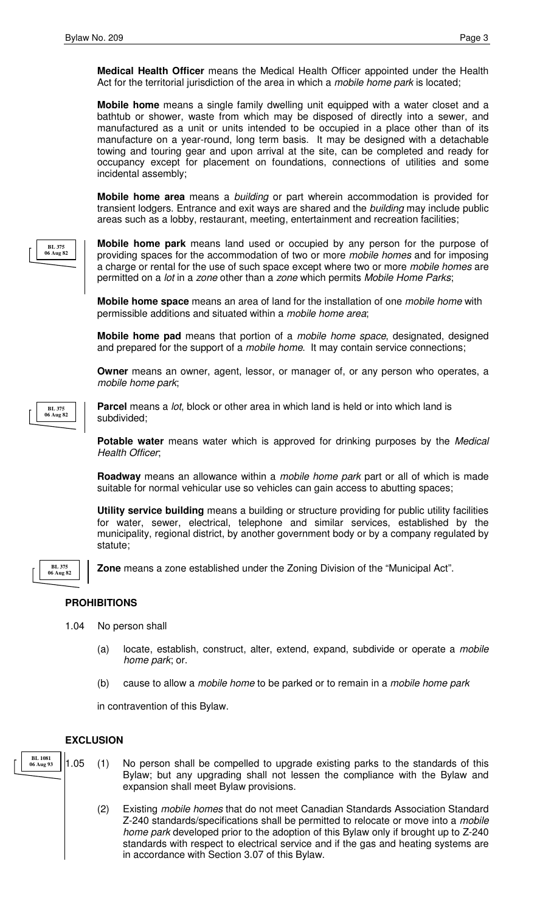**Medical Health Officer** means the Medical Health Officer appointed under the Health Act for the territorial jurisdiction of the area in which a *mobile home park* is located;

**Mobile home** means a single family dwelling unit equipped with a water closet and a bathtub or shower, waste from which may be disposed of directly into a sewer, and manufactured as a unit or units intended to be occupied in a place other than of its manufacture on a year-round, long term basis. It may be designed with a detachable towing and touring gear and upon arrival at the site, can be completed and ready for occupancy except for placement on foundations, connections of utilities and some incidental assembly;

**Mobile home area** means a building or part wherein accommodation is provided for transient lodgers. Entrance and exit ways are shared and the building may include public areas such as a lobby, restaurant, meeting, entertainment and recreation facilities;



**Mobile home park** means land used or occupied by any person for the purpose of providing spaces for the accommodation of two or more mobile homes and for imposing a charge or rental for the use of such space except where two or more *mobile homes* are permitted on a *lot* in a *zone* other than a *zone* which permits *Mobile Home Parks*;

**Mobile home space** means an area of land for the installation of one mobile home with permissible additions and situated within a mobile home area;

**Mobile home pad** means that portion of a mobile home space, designated, designed and prepared for the support of a mobile home. It may contain service connections;

**Owner** means an owner, agent, lessor, or manager of, or any person who operates, a mobile home park;



**Parcel** means a lot, block or other area in which land is held or into which land is subdivided;

**Potable water** means water which is approved for drinking purposes by the *Medical* Health Officer;

**Roadway** means an allowance within a mobile home park part or all of which is made suitable for normal vehicular use so vehicles can gain access to abutting spaces;

**Utility service building** means a building or structure providing for public utility facilities for water, sewer, electrical, telephone and similar services, established by the municipality, regional district, by another government body or by a company regulated by statute;



**Zone** means a zone established under the Zoning Division of the "Municipal Act".

# **PROHIBITIONS**

- 1.04 No person shall
	- (a) locate, establish, construct, alter, extend, expand, subdivide or operate a mobile home park; or.

Bylaw; but any upgrading shall not lessen the compliance with the Bylaw and

(2) Existing mobile homes that do not meet Canadian Standards Association Standard Z-240 standards/specifications shall be permitted to relocate or move into a mobile home park developed prior to the adoption of this Bylaw only if brought up to Z-240 standards with respect to electrical service and if the gas and heating systems are

(b) cause to allow a *mobile home* to be parked or to remain in a *mobile home park* 

in contravention of this Bylaw.

expansion shall meet Bylaw provisions.

in accordance with Section 3.07 of this Bylaw.

## **EXCLUSION**

1.05 (1) No person shall be compelled to upgrade existing parks to the standards of this **BL 1081 06 Aug 93**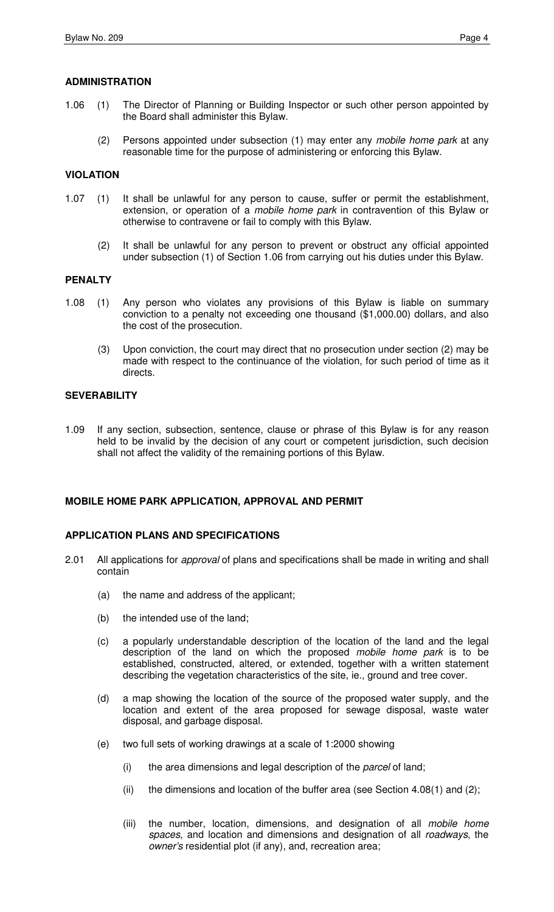- 1.06 (1) The Director of Planning or Building Inspector or such other person appointed by the Board shall administer this Bylaw.
	- (2) Persons appointed under subsection (1) may enter any mobile home park at any reasonable time for the purpose of administering or enforcing this Bylaw.

## **VIOLATION**

- 1.07 (1) It shall be unlawful for any person to cause, suffer or permit the establishment, extension, or operation of a *mobile home park* in contravention of this Bylaw or otherwise to contravene or fail to comply with this Bylaw.
	- (2) It shall be unlawful for any person to prevent or obstruct any official appointed under subsection (1) of Section 1.06 from carrying out his duties under this Bylaw.

# **PENALTY**

- 1.08 (1) Any person who violates any provisions of this Bylaw is liable on summary conviction to a penalty not exceeding one thousand (\$1,000.00) dollars, and also the cost of the prosecution.
	- (3) Upon conviction, the court may direct that no prosecution under section (2) may be made with respect to the continuance of the violation, for such period of time as it directs.

# **SEVERABILITY**

1.09 If any section, subsection, sentence, clause or phrase of this Bylaw is for any reason held to be invalid by the decision of any court or competent jurisdiction, such decision shall not affect the validity of the remaining portions of this Bylaw.

## **MOBILE HOME PARK APPLICATION, APPROVAL AND PERMIT**

## **APPLICATION PLANS AND SPECIFICATIONS**

- 2.01 All applications for approval of plans and specifications shall be made in writing and shall contain
	- (a) the name and address of the applicant;
	- (b) the intended use of the land;
	- (c) a popularly understandable description of the location of the land and the legal description of the land on which the proposed mobile home park is to be established, constructed, altered, or extended, together with a written statement describing the vegetation characteristics of the site, ie., ground and tree cover.
	- (d) a map showing the location of the source of the proposed water supply, and the location and extent of the area proposed for sewage disposal, waste water disposal, and garbage disposal.
	- (e) two full sets of working drawings at a scale of 1:2000 showing
		- (i) the area dimensions and legal description of the parcel of land;
		- (ii) the dimensions and location of the buffer area (see Section 4.08(1) and (2);
		- (iii) the number, location, dimensions, and designation of all *mobile home* spaces, and location and dimensions and designation of all roadways, the owner's residential plot (if any), and, recreation area;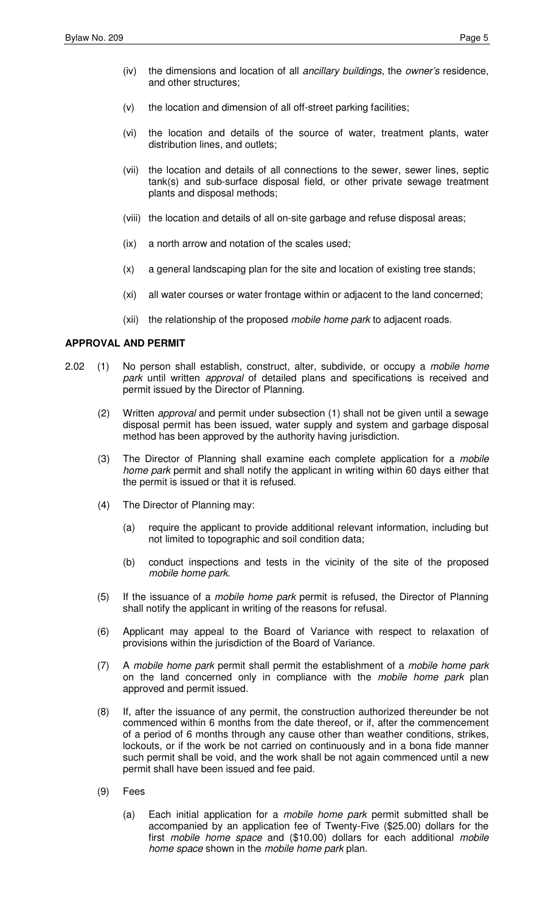- (iv) the dimensions and location of all ancillary buildings, the owner's residence, and other structures;
- (v) the location and dimension of all off-street parking facilities;
- (vi) the location and details of the source of water, treatment plants, water distribution lines, and outlets;
- (vii) the location and details of all connections to the sewer, sewer lines, septic tank(s) and sub-surface disposal field, or other private sewage treatment plants and disposal methods;
- (viii) the location and details of all on-site garbage and refuse disposal areas;
- (ix) a north arrow and notation of the scales used;
- (x) a general landscaping plan for the site and location of existing tree stands;
- (xi) all water courses or water frontage within or adjacent to the land concerned;
- (xii) the relationship of the proposed *mobile home park* to adjacent roads.

# **APPROVAL AND PERMIT**

- 2.02 (1) No person shall establish, construct, alter, subdivide, or occupy a mobile home park until written approval of detailed plans and specifications is received and permit issued by the Director of Planning.
	- (2) Written approval and permit under subsection (1) shall not be given until a sewage disposal permit has been issued, water supply and system and garbage disposal method has been approved by the authority having jurisdiction.
	- (3) The Director of Planning shall examine each complete application for a mobile home park permit and shall notify the applicant in writing within 60 days either that the permit is issued or that it is refused.
	- (4) The Director of Planning may:
		- (a) require the applicant to provide additional relevant information, including but not limited to topographic and soil condition data;
		- (b) conduct inspections and tests in the vicinity of the site of the proposed mobile home park.
	- (5) If the issuance of a mobile home park permit is refused, the Director of Planning shall notify the applicant in writing of the reasons for refusal.
	- (6) Applicant may appeal to the Board of Variance with respect to relaxation of provisions within the jurisdiction of the Board of Variance.
	- (7) A mobile home park permit shall permit the establishment of a mobile home park on the land concerned only in compliance with the *mobile home park* plan approved and permit issued.
	- (8) If, after the issuance of any permit, the construction authorized thereunder be not commenced within 6 months from the date thereof, or if, after the commencement of a period of 6 months through any cause other than weather conditions, strikes, lockouts, or if the work be not carried on continuously and in a bona fide manner such permit shall be void, and the work shall be not again commenced until a new permit shall have been issued and fee paid.
	- (9) Fees
		- (a) Each initial application for a mobile home park permit submitted shall be accompanied by an application fee of Twenty-Five (\$25.00) dollars for the first mobile home space and (\$10.00) dollars for each additional mobile home space shown in the mobile home park plan.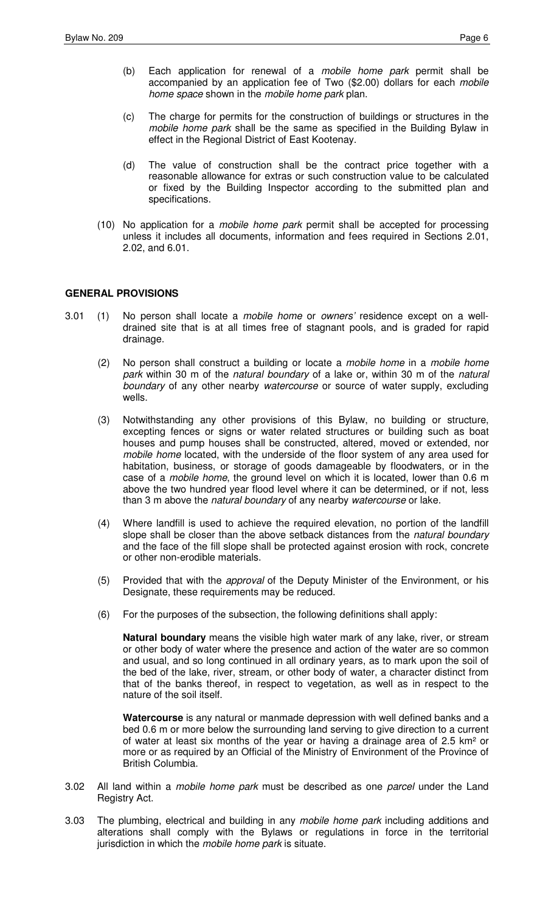- (b) Each application for renewal of a mobile home park permit shall be accompanied by an application fee of Two (\$2.00) dollars for each mobile home space shown in the mobile home park plan.
- (c) The charge for permits for the construction of buildings or structures in the mobile home park shall be the same as specified in the Building Bylaw in effect in the Regional District of East Kootenay.
- (d) The value of construction shall be the contract price together with a reasonable allowance for extras or such construction value to be calculated or fixed by the Building Inspector according to the submitted plan and specifications.
- (10) No application for a mobile home park permit shall be accepted for processing unless it includes all documents, information and fees required in Sections 2.01, 2.02, and 6.01.

# **GENERAL PROVISIONS**

- 3.01 (1) No person shall locate a mobile home or owners' residence except on a welldrained site that is at all times free of stagnant pools, and is graded for rapid drainage.
	- (2) No person shall construct a building or locate a mobile home in a mobile home park within 30 m of the natural boundary of a lake or, within 30 m of the natural boundary of any other nearby watercourse or source of water supply, excluding wells.
	- (3) Notwithstanding any other provisions of this Bylaw, no building or structure, excepting fences or signs or water related structures or building such as boat houses and pump houses shall be constructed, altered, moved or extended, nor mobile home located, with the underside of the floor system of any area used for habitation, business, or storage of goods damageable by floodwaters, or in the case of a mobile home, the ground level on which it is located, lower than 0.6 m above the two hundred year flood level where it can be determined, or if not, less than 3 m above the *natural boundary* of any nearby watercourse or lake.
	- (4) Where landfill is used to achieve the required elevation, no portion of the landfill slope shall be closer than the above setback distances from the natural boundary and the face of the fill slope shall be protected against erosion with rock, concrete or other non-erodible materials.
	- (5) Provided that with the approval of the Deputy Minister of the Environment, or his Designate, these requirements may be reduced.
	- (6) For the purposes of the subsection, the following definitions shall apply:

**Natural boundary** means the visible high water mark of any lake, river, or stream or other body of water where the presence and action of the water are so common and usual, and so long continued in all ordinary years, as to mark upon the soil of the bed of the lake, river, stream, or other body of water, a character distinct from that of the banks thereof, in respect to vegetation, as well as in respect to the nature of the soil itself.

**Watercourse** is any natural or manmade depression with well defined banks and a bed 0.6 m or more below the surrounding land serving to give direction to a current of water at least six months of the year or having a drainage area of 2.5 km² or more or as required by an Official of the Ministry of Environment of the Province of British Columbia.

- 3.02 All land within a mobile home park must be described as one parcel under the Land Registry Act.
- 3.03 The plumbing, electrical and building in any mobile home park including additions and alterations shall comply with the Bylaws or regulations in force in the territorial jurisdiction in which the mobile home park is situate.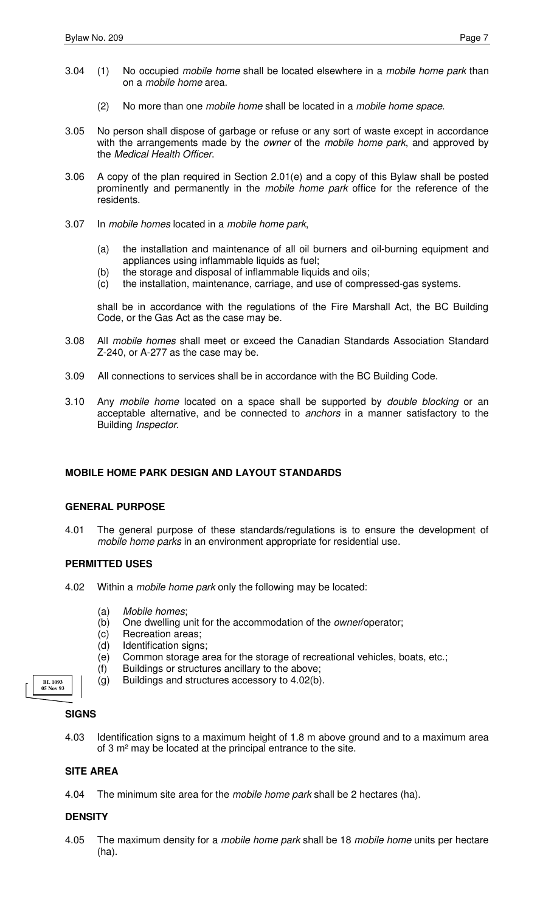- 3.04 (1) No occupied mobile home shall be located elsewhere in a mobile home park than on a mobile home area.
	- (2) No more than one *mobile home* shall be located in a *mobile home space*.
- 3.05 No person shall dispose of garbage or refuse or any sort of waste except in accordance with the arrangements made by the owner of the mobile home park, and approved by the Medical Health Officer.
- 3.06 A copy of the plan required in Section 2.01(e) and a copy of this Bylaw shall be posted prominently and permanently in the mobile home park office for the reference of the residents.
- 3.07 In mobile homes located in a mobile home park,
	- (a) the installation and maintenance of all oil burners and oil-burning equipment and appliances using inflammable liquids as fuel;
	- (b) the storage and disposal of inflammable liquids and oils;
	- (c) the installation, maintenance, carriage, and use of compressed-gas systems.

shall be in accordance with the regulations of the Fire Marshall Act, the BC Building Code, or the Gas Act as the case may be.

- 3.08 All mobile homes shall meet or exceed the Canadian Standards Association Standard Z-240, or A-277 as the case may be.
- 3.09 All connections to services shall be in accordance with the BC Building Code.
- 3.10 Any mobile home located on a space shall be supported by double blocking or an acceptable alternative, and be connected to anchors in a manner satisfactory to the Building Inspector.

## **MOBILE HOME PARK DESIGN AND LAYOUT STANDARDS**

## **GENERAL PURPOSE**

4.01 The general purpose of these standards/regulations is to ensure the development of mobile home parks in an environment appropriate for residential use.

## **PERMITTED USES**

- 4.02 Within a *mobile home park* only the following may be located:
	- (a) Mobile homes;
	- (b) One dwelling unit for the accommodation of the owner/operator;
	- (c) Recreation areas;
	- (d) Identification signs;
	- (e) Common storage area for the storage of recreational vehicles, boats, etc.;
	- (f) Buildings or structures ancillary to the above;
	- (g) Buildings and structures accessory to 4.02(b).

## **SIGNS**

**BL 1093 05 Nov 93**

4.03 Identification signs to a maximum height of 1.8 m above ground and to a maximum area of 3 m² may be located at the principal entrance to the site.

## **SITE AREA**

4.04 The minimum site area for the mobile home park shall be 2 hectares (ha).

## **DENSITY**

4.05 The maximum density for a mobile home park shall be 18 mobile home units per hectare (ha).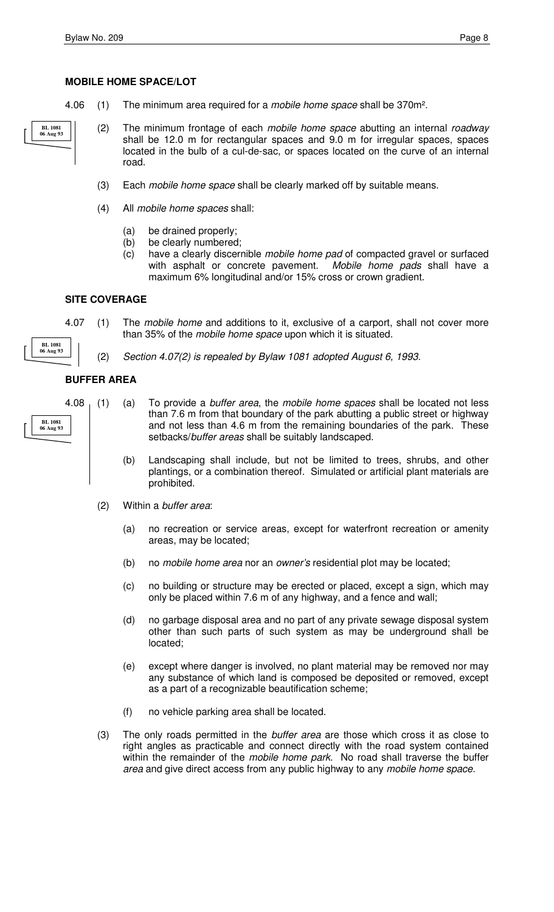- 4.06 (1) The minimum area required for a *mobile home space* shall be 370m<sup>2</sup>.
	- (2) The minimum frontage of each mobile home space abutting an internal roadway shall be 12.0 m for rectangular spaces and 9.0 m for irregular spaces, spaces located in the bulb of a cul-de-sac, or spaces located on the curve of an internal road.
		- (3) Each mobile home space shall be clearly marked off by suitable means.
		- (4) All mobile home spaces shall:
			- (a) be drained properly;
			- (b) be clearly numbered;
			- (c) have a clearly discernible mobile home pad of compacted gravel or surfaced with asphalt or concrete pavement. Mobile home pads shall have a maximum 6% longitudinal and/or 15% cross or crown gradient.

#### **SITE COVERAGE**

**BL 1081 06 Aug 93**

- 4.07 (1) The *mobile home* and additions to it, exclusive of a carport, shall not cover more than 35% of the mobile home space upon which it is situated.
	- (2) Section 4.07(2) is repealed by Bylaw 1081 adopted August 6, 1993.

# **BUFFER AREA**

**BL 1081 06 Aug 93**

**BL 1081 06 Aug 93**

- 4.08 (1) (a) To provide a *buffer area*, the mobile home spaces shall be located not less than 7.6 m from that boundary of the park abutting a public street or highway and not less than 4.6 m from the remaining boundaries of the park. These setbacks/buffer areas shall be suitably landscaped.
	- (b) Landscaping shall include, but not be limited to trees, shrubs, and other plantings, or a combination thereof. Simulated or artificial plant materials are prohibited.
	- (2) Within a buffer area:
		- (a) no recreation or service areas, except for waterfront recreation or amenity areas, may be located;
		- (b) no mobile home area nor an owner's residential plot may be located;
		- (c) no building or structure may be erected or placed, except a sign, which may only be placed within 7.6 m of any highway, and a fence and wall;
		- (d) no garbage disposal area and no part of any private sewage disposal system other than such parts of such system as may be underground shall be located;
		- (e) except where danger is involved, no plant material may be removed nor may any substance of which land is composed be deposited or removed, except as a part of a recognizable beautification scheme;
		- (f) no vehicle parking area shall be located.
	- (3) The only roads permitted in the *buffer area* are those which cross it as close to right angles as practicable and connect directly with the road system contained within the remainder of the mobile home park. No road shall traverse the buffer area and give direct access from any public highway to any mobile home space.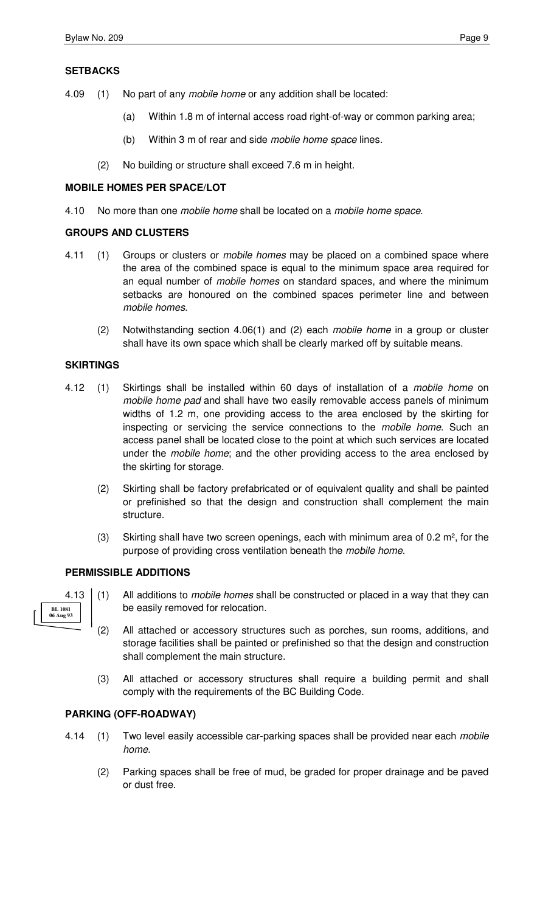# **SETBACKS**

- 4.09 (1) No part of any *mobile home* or any addition shall be located:
	- (a) Within 1.8 m of internal access road right-of-way or common parking area;
	- (b) Within 3 m of rear and side *mobile home space* lines.
	- (2) No building or structure shall exceed 7.6 m in height.

## **MOBILE HOMES PER SPACE/LOT**

4.10 No more than one mobile home shall be located on a mobile home space.

# **GROUPS AND CLUSTERS**

- 4.11 (1) Groups or clusters or mobile homes may be placed on a combined space where the area of the combined space is equal to the minimum space area required for an equal number of mobile homes on standard spaces, and where the minimum setbacks are honoured on the combined spaces perimeter line and between mobile homes.
	- (2) Notwithstanding section 4.06(1) and (2) each mobile home in a group or cluster shall have its own space which shall be clearly marked off by suitable means.

# **SKIRTINGS**

- 4.12 (1) Skirtings shall be installed within 60 days of installation of a mobile home on mobile home pad and shall have two easily removable access panels of minimum widths of 1.2 m, one providing access to the area enclosed by the skirting for inspecting or servicing the service connections to the *mobile home*. Such an access panel shall be located close to the point at which such services are located under the mobile home; and the other providing access to the area enclosed by the skirting for storage.
	- (2) Skirting shall be factory prefabricated or of equivalent quality and shall be painted or prefinished so that the design and construction shall complement the main structure.
	- (3) Skirting shall have two screen openings, each with minimum area of  $0.2 \text{ m}^2$ , for the purpose of providing cross ventilation beneath the mobile home.

## **PERMISSIBLE ADDITIONS**



- 4.13 (1) All additions to *mobile homes* shall be constructed or placed in a way that they can be easily removed for relocation.
	- (2) All attached or accessory structures such as porches, sun rooms, additions, and storage facilities shall be painted or prefinished so that the design and construction shall complement the main structure.
	- (3) All attached or accessory structures shall require a building permit and shall comply with the requirements of the BC Building Code.

# **PARKING (OFF-ROADWAY)**

- 4.14 (1) Two level easily accessible car-parking spaces shall be provided near each mobile home.
	- (2) Parking spaces shall be free of mud, be graded for proper drainage and be paved or dust free.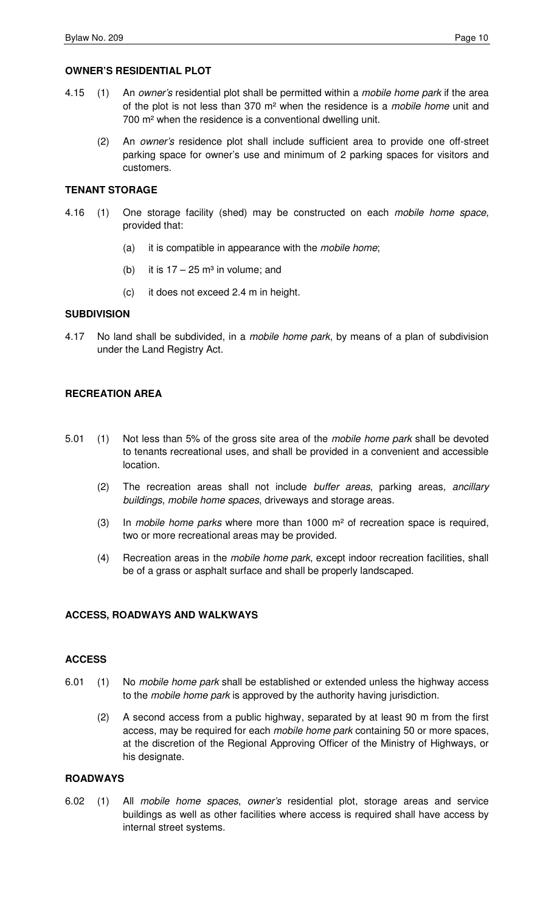## **OWNER'S RESIDENTIAL PLOT**

- 4.15 (1) An owner's residential plot shall be permitted within a mobile home park if the area of the plot is not less than  $370 \text{ m}^2$  when the residence is a *mobile home* unit and 700 m² when the residence is a conventional dwelling unit.
	- (2) An owner's residence plot shall include sufficient area to provide one off-street parking space for owner's use and minimum of 2 parking spaces for visitors and customers.

# **TENANT STORAGE**

- 4.16 (1) One storage facility (shed) may be constructed on each mobile home space, provided that:
	- (a) it is compatible in appearance with the mobile home;
	- (b) it is  $17 25$  m<sup>3</sup> in volume; and
	- (c) it does not exceed 2.4 m in height.

## **SUBDIVISION**

4.17 No land shall be subdivided, in a *mobile home park*, by means of a plan of subdivision under the Land Registry Act.

# **RECREATION AREA**

- 5.01 (1) Not less than 5% of the gross site area of the mobile home park shall be devoted to tenants recreational uses, and shall be provided in a convenient and accessible location.
	- (2) The recreation areas shall not include buffer areas, parking areas, ancillary buildings, mobile home spaces, driveways and storage areas.
	- (3) In mobile home parks where more than 1000  $m<sup>2</sup>$  of recreation space is required, two or more recreational areas may be provided.
	- (4) Recreation areas in the *mobile home park*, except indoor recreation facilities, shall be of a grass or asphalt surface and shall be properly landscaped.

#### **ACCESS, ROADWAYS AND WALKWAYS**

#### **ACCESS**

- 6.01 (1) No mobile home park shall be established or extended unless the highway access to the *mobile home park* is approved by the authority having jurisdiction.
	- (2) A second access from a public highway, separated by at least 90 m from the first access, may be required for each mobile home park containing 50 or more spaces, at the discretion of the Regional Approving Officer of the Ministry of Highways, or his designate.

# **ROADWAYS**

6.02 (1) All mobile home spaces, owner's residential plot, storage areas and service buildings as well as other facilities where access is required shall have access by internal street systems.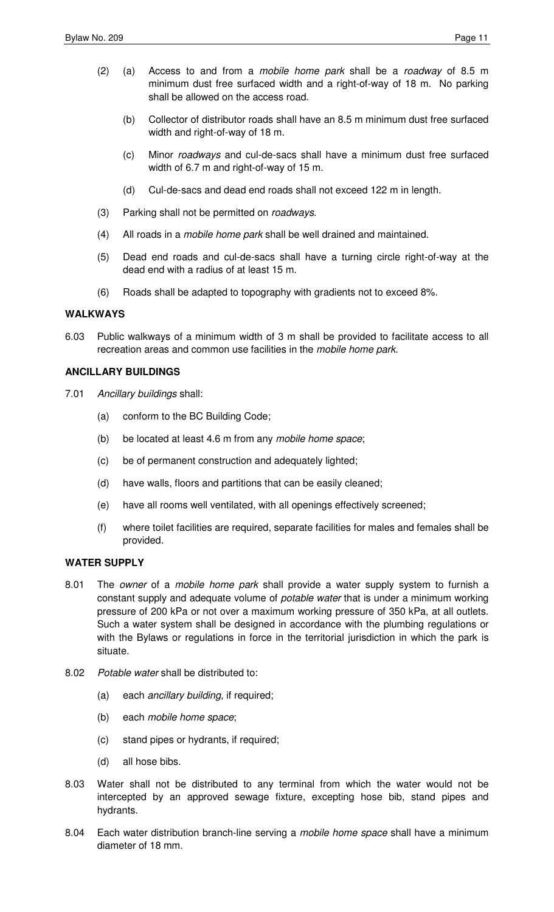- (2) (a) Access to and from a mobile home park shall be a roadway of 8.5 m minimum dust free surfaced width and a right-of-way of 18 m. No parking shall be allowed on the access road.
	- (b) Collector of distributor roads shall have an 8.5 m minimum dust free surfaced width and right-of-way of 18 m.
	- (c) Minor roadways and cul-de-sacs shall have a minimum dust free surfaced width of 6.7 m and right-of-way of 15 m.
	- (d) Cul-de-sacs and dead end roads shall not exceed 122 m in length.
- (3) Parking shall not be permitted on roadways.
- (4) All roads in a mobile home park shall be well drained and maintained.
- (5) Dead end roads and cul-de-sacs shall have a turning circle right-of-way at the dead end with a radius of at least 15 m.
- (6) Roads shall be adapted to topography with gradients not to exceed 8%.

# **WALKWAYS**

6.03 Public walkways of a minimum width of 3 m shall be provided to facilitate access to all recreation areas and common use facilities in the mobile home park.

# **ANCILLARY BUILDINGS**

- 7.01 Ancillary buildings shall:
	- (a) conform to the BC Building Code;
	- (b) be located at least 4.6 m from any mobile home space;
	- (c) be of permanent construction and adequately lighted;
	- (d) have walls, floors and partitions that can be easily cleaned;
	- (e) have all rooms well ventilated, with all openings effectively screened;
	- (f) where toilet facilities are required, separate facilities for males and females shall be provided.

## **WATER SUPPLY**

- 8.01 The owner of a mobile home park shall provide a water supply system to furnish a constant supply and adequate volume of potable water that is under a minimum working pressure of 200 kPa or not over a maximum working pressure of 350 kPa, at all outlets. Such a water system shall be designed in accordance with the plumbing regulations or with the Bylaws or regulations in force in the territorial jurisdiction in which the park is situate.
- 8.02 Potable water shall be distributed to:
	- (a) each ancillary building, if required;
	- (b) each mobile home space;
	- (c) stand pipes or hydrants, if required;
	- (d) all hose bibs.
- 8.03 Water shall not be distributed to any terminal from which the water would not be intercepted by an approved sewage fixture, excepting hose bib, stand pipes and hydrants.
- 8.04 Each water distribution branch-line serving a mobile home space shall have a minimum diameter of 18 mm.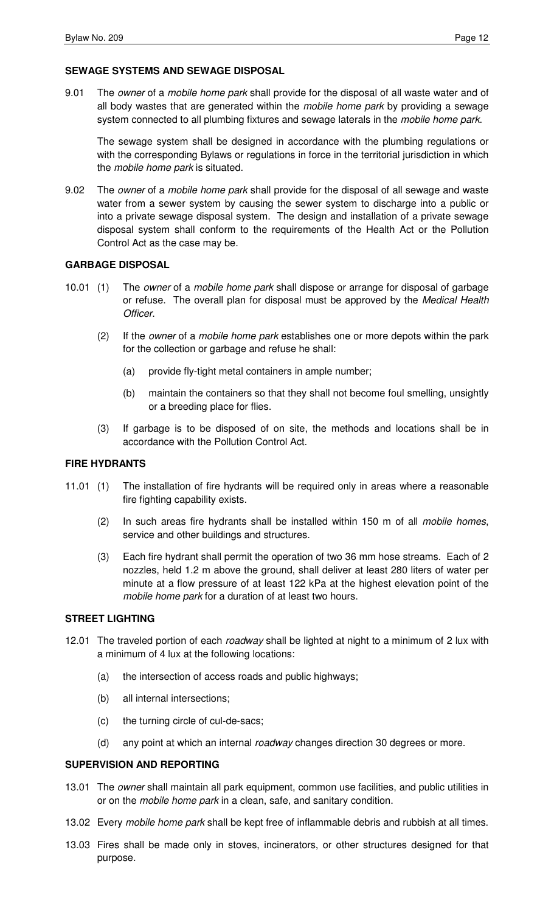## **SEWAGE SYSTEMS AND SEWAGE DISPOSAL**

9.01 The *owner* of a *mobile home park* shall provide for the disposal of all waste water and of all body wastes that are generated within the mobile home park by providing a sewage system connected to all plumbing fixtures and sewage laterals in the mobile home park.

 The sewage system shall be designed in accordance with the plumbing regulations or with the corresponding Bylaws or regulations in force in the territorial jurisdiction in which the mobile home park is situated.

9.02 The owner of a mobile home park shall provide for the disposal of all sewage and waste water from a sewer system by causing the sewer system to discharge into a public or into a private sewage disposal system. The design and installation of a private sewage disposal system shall conform to the requirements of the Health Act or the Pollution Control Act as the case may be.

#### **GARBAGE DISPOSAL**

- 10.01 (1) The owner of a mobile home park shall dispose or arrange for disposal of garbage or refuse. The overall plan for disposal must be approved by the Medical Health Officer.
	- (2) If the owner of a mobile home park establishes one or more depots within the park for the collection or garbage and refuse he shall:
		- (a) provide fly-tight metal containers in ample number;
		- (b) maintain the containers so that they shall not become foul smelling, unsightly or a breeding place for flies.
	- (3) If garbage is to be disposed of on site, the methods and locations shall be in accordance with the Pollution Control Act.

# **FIRE HYDRANTS**

- 11.01 (1) The installation of fire hydrants will be required only in areas where a reasonable fire fighting capability exists.
	- (2) In such areas fire hydrants shall be installed within 150 m of all mobile homes, service and other buildings and structures.
	- (3) Each fire hydrant shall permit the operation of two 36 mm hose streams. Each of 2 nozzles, held 1.2 m above the ground, shall deliver at least 280 liters of water per minute at a flow pressure of at least 122 kPa at the highest elevation point of the mobile home park for a duration of at least two hours.

# **STREET LIGHTING**

- 12.01 The traveled portion of each roadway shall be lighted at night to a minimum of 2 lux with a minimum of 4 lux at the following locations:
	- (a) the intersection of access roads and public highways;
	- (b) all internal intersections;
	- (c) the turning circle of cul-de-sacs;
	- (d) any point at which an internal roadway changes direction 30 degrees or more.

## **SUPERVISION AND REPORTING**

- 13.01 The owner shall maintain all park equipment, common use facilities, and public utilities in or on the mobile home park in a clean, safe, and sanitary condition.
- 13.02 Every *mobile home park* shall be kept free of inflammable debris and rubbish at all times.
- 13.03 Fires shall be made only in stoves, incinerators, or other structures designed for that purpose.